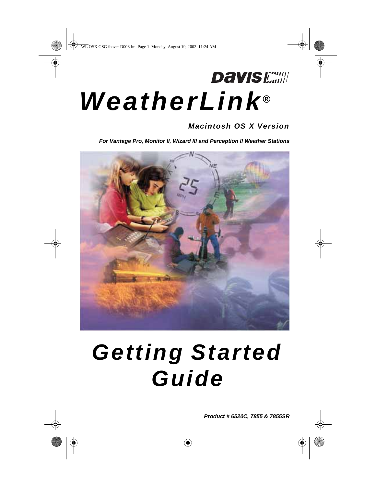# **DaVISE** *WeatherLink ®*

# *Macintosh OS X Version*

*For Vantage Pro, Monitor II, Wizard III and Perception II Weather Stations*



# *Getting Started Guide*

*Product # 6520C, 7855 & 7855SR*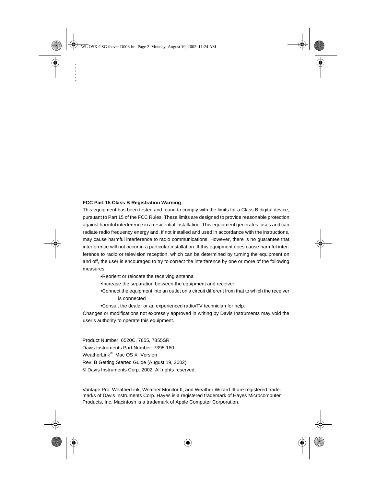#### **FCC Part 15 Class B Registration Warning**

This equipment has been tested and found to comply with the limits for a Class B digital device, pursuant to Part 15 of the FCC Rules. These limits are designed to provide reasonable protection against harmful interference in a residential installation. This equipment generates, uses and can radiate radio frequency energy and, if not installed and used in accordance with the instructions, may cause harmful interference to radio communications. However, there is no guarantee that interference will not occur in a particular installation. If this equipment does cause harmful interference to radio or television reception, which can be determined by turning the equipment on and off, the user is encouraged to try to correct the interference by one or more of the following measures:

- •Reorient or relocate the receiving antenna
- •Increase the separation between the equipment and receiver
- •Connect the equipment into an outlet on a circuit different from that to which the receiver is connected
- •Consult the dealer or an experienced radio/TV technician for help.

Changes or modifications not expressly approved in writing by Davis Instruments may void the user's authority to operate this equipment.

Product Number: 6520C, 7855, 7855SR Davis Instruments Part Number: 7395.180 WeatherLink® Mac OS X Version Rev. B Getting Started Guide (August 19, 2002) © Davis Instruments Corp. 2002. All rights reserved.

Vantage Pro, WeatherLink, Weather Monitor II, and Weather Wizard III are registered trademarks of Davis Instruments Corp. Hayes is a registered trademark of Hayes Microcomputer Products, Inc. Macintosh is a trademark of Apple Computer Corporation.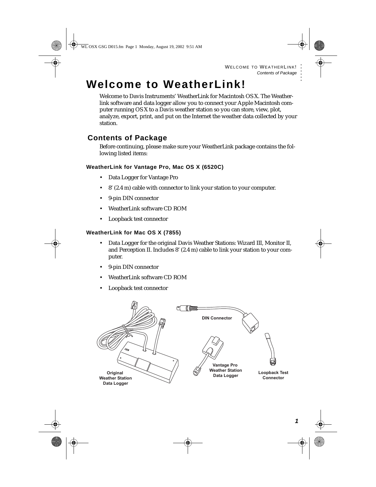# **Welcome to WeatherLink!**

Welcome to Davis Instruments' WeatherLink for Macintosh OS X. The Weatherlink software and data logger allow you to connect your Apple Macintosh computer running OS X to a Davis weather station so you can store, view, plot, analyze, export, print, and put on the Internet the weather data collected by your station.

# **Contents of Package**

Before continuing, please make sure your WeatherLink package contains the following listed items:

# **WeatherLink for Vantage Pro, Mac OS X (6520C)**

- Data Logger for Vantage Pro
- 8' (2.4 m) cable with connector to link your station to your computer.
- 9-pin DIN connector
- WeatherLink software CD ROM
- Loopback test connector

# **WeatherLink for Mac OS X (7855)**

- Data Logger for the original Davis Weather Stations: Wizard III, Monitor II, and Perception II. Includes 8' (2.4 m) cable to link your station to your computer.
- 9-pin DIN connector
- WeatherLink software CD ROM
- Loopback test connector

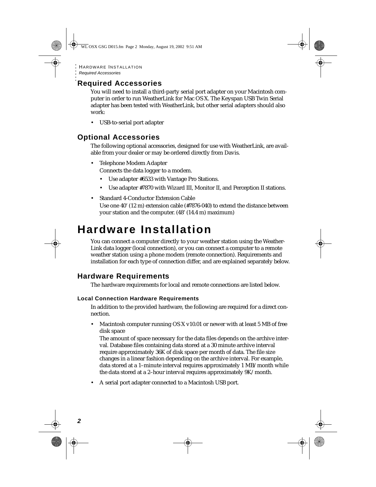*Required Accessories*

# **Required Accessories**

You will need to install a third-party serial port adapter on your Macintosh computer in order to run WeatherLink for Mac OS X. The Keyspan USB Twin Serial adapter has been tested with WeatherLink, but other serial adapters should also work:

• USB-to-serial port adapter

# **Optional Accessories**

The following optional accessories, designed for use with WeatherLink, are available from your dealer or may be ordered directly from Davis.

- Telephone Modem Adapter Connects the data logger to a modem.
	- Use adapter #6533 with Vantage Pro Stations.
	- Use adapter #7870 with Wizard III, Monitor II, and Perception II stations.
- Standard 4-Conductor Extension Cable Use one 40' (12 m) extension cable (#7876-040) to extend the distance between your station and the computer. (48' (14.4 m) maximum)

# **Hardware Installation**

You can connect a computer directly to your weather station using the Weather-Link data logger (local connection), or you can connect a computer to a remote weather station using a phone modem (remote connection). Requirements and installation for each type of connection differ, and are explained separately below.

# **Hardware Requirements**

The hardware requirements for local and remote connections are listed below.

# **Local Connection Hardware Requirements**

In addition to the provided hardware, the following are required for a direct connection.

• Macintosh computer running  $\overline{OS}X$  v10.01 or newer with at least 5 MB of free disk space

The amount of space necessary for the data files depends on the archive interval. Database files containing data stored at a 30 minute archive interval require approximately 36K of disk space per month of data. The file size changes in a linear fashion depending on the archive interval. For example, data stored at a 1–minute interval requires approximately 1 MB/month while the data stored at a 2–hour interval requires approximately 9K/month.

• A serial port adapter connected to a Macintosh USB port.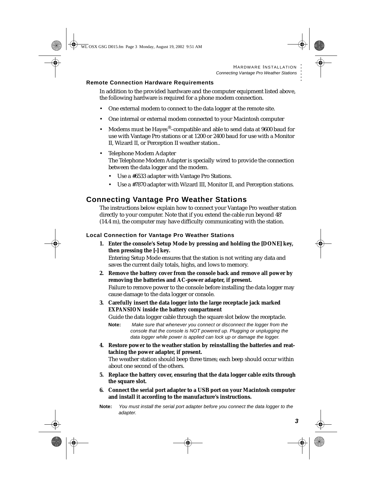## **Remote Connection Hardware Requirements**

In addition to the provided hardware and the computer equipment listed above, the following hardware is required for a phone modem connection.

- One external modem to connect to the data logger at the remote site.
- One internal or external modem connected to your Macintosh computer
- Modems must be Hayes<sup>®</sup>-compatible and able to send data at 9600 baud for use with Vantage Pro stations or at 1200 or 2400 baud for use with a Monitor II, Wizard II, or Perception II weather station..
- Telephone Modem Adapter The Telephone Modem Adapter is specially wired to provide the connection between the data logger and the modem.
	- Use a #6533 adapter with Vantage Pro Stations.
	- Use a #7870 adapter with Wizard III, Monitor II, and Perception stations.

# **Connecting Vantage Pro Weather Stations**

The instructions below explain how to connect your Vantage Pro weather station directly to your computer. Note that if you extend the cable run beyond 48' (14.4 m), the computer may have difficulty communicating with the station.

## **Local Connection for Vantage Pro Weather Stations**

**1. Enter the console's Setup Mode by pressing and holding the [DONE] key, then pressing the [-] key.** 

Entering Setup Mode ensures that the station is not writing any data and saves the current daily totals, highs, and lows to memory.

**2. Remove the battery cover from the console back and remove all power by removing the batteries and AC-power adapter, if present.** Failure to remove power to the console before installing the data logger may

cause damage to the data logger or console. **3. Carefully insert the data logger into the large receptacle jack marked**  *EXPANSION* **inside the battery compartment**

Guide the data logger cable through the square slot below the receptacle.

**Note:** *Make sure that whenever you connect or disconnect the logger from the console that the console is NOT powered up. Plugging or unplugging the data logger while power is applied can lock up or damage the logger.*

**4. Restore power to the weather station by reinstalling the batteries and reattaching the power adapter, if present.**

The weather station should beep three times; each beep should occur within about one second of the others.

- **5. Replace the battery cover, ensuring that the data logger cable exits through the square slot.**
- **6. Connect the serial port adapter to a USB port on your Macintosh computer and install it according to the manufacture's instructions.**
- **Note:** *You must install the serial port adapter before you connect the data logger to the adapter.*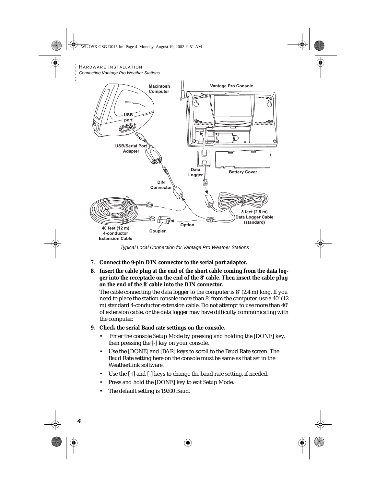*Connecting Vantage Pro Weather Stations*



*Typical Local Connection for Vantage Pro Weather Stations*

- **7. Connect the 9-pin DIN connector to the serial port adapter.**
- **8. Insert the cable plug at the end of the short cable coming from the data logger into the receptacle on the end of the 8' cable. Then insert the cable plug on the end of the 8' cable into the DIN connector.**

The cable connecting the data logger to the computer is 8' (2.4 m) long. If you need to place the station console more than 8' from the computer, use a 40' (12 m) standard 4-conductor extension cable. Do not attempt to use more than 40' of extension cable, or the data logger may have difficulty communicating with the computer.

- **9. Check the serial Baud rate settings on the console.**
	- Enter the console Setup Mode by pressing and holding the [DONE] key, then pressing the [-] key on your console.
	- Use the [DONE] and [BAR] keys to scroll to the Baud Rate screen. The Baud Rate setting here on the console must be same as that set in the WeatherLink software.
	- Use the [+] and [-] keys to change the baud rate setting, if needed.
	- Press and hold the [DONE] key to exit Setup Mode.
	- The default setting is 19200 Baud.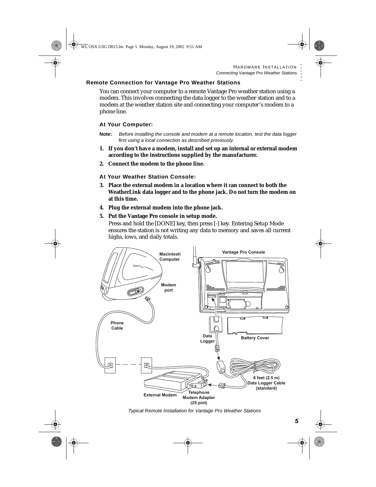## **Remote Connection for Vantage Pro Weather Stations**

You can connect your computer to a remote Vantage Pro weather station using a modem. This involves connecting the data logger to the weather station and to a modem at the weather station site and connecting your computer's modem to a phone line.

#### **At Your Computer:**

**Note:** *Before installing the console and modem at a remote location, test the data logger first using a local connection as described previously.*

- **1. If you don't have a modem, install and set up an internal or external modem according to the instructions supplied by the manufacturer.**
- **2. Connect the modem to the phone line.**
- **At Your Weather Station Console:**
- **3. Place the external modem in a location where it can connect to both the WeatherLink data logger and to the phone jack. Do not turn the modem on at this time.**
- **4. Plug the external modem into the phone jack.**

#### **5. Put the Vantage Pro console in setup mode.**

Press and hold the [DONE] key, then press [-] key. Entering Setup Mode ensures the station is not writing any data to memory and saves all current highs, lows, and daily totals.



*Typical Remote Installation for Vantage Pro Weather Stations*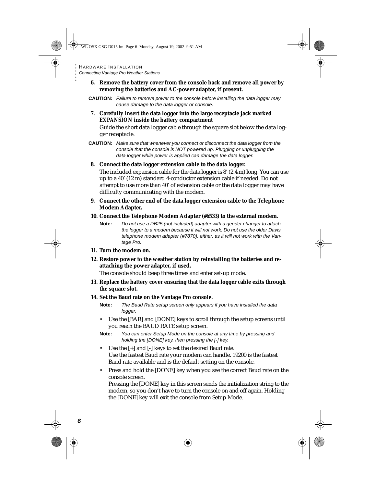- **6. Remove the battery cover from the console back and remove all power by removing the batteries and AC-power adapter, if present.**
- **CAUTION:** *Failure to remove power to the console before installing the data logger may cause damage to the data logger or console.*
- **7. Carefully insert the data logger into the large receptacle jack marked**  *EXPANSION* **inside the battery compartment**

Guide the short data logger cable through the square slot below the data logger receptacle.

- **CAUTION:** *Make sure that whenever you connect or disconnect the data logger from the console that the console is NOT powered up. Plugging or unplugging the data logger while power is applied can damage the data logger.*
- **8. Connect the data logger extension cable to the data logger.** The included expansion cable for the data logger is 8' (2.4 m) long. You can use up to a 40' (12 m) standard 4-conductor extension cable if needed. Do not attempt to use more than 40' of extension cable or the data logger may have difficulty communicating with the modem.
- **9. Connect the other end of the data logger extension cable to the Telephone Modem Adapter.**
- **10. Connect the Telephone Modem Adapter (#6533) to the external modem.**

**Note:** *Do not use a DB25 (not included) adapter with a gender changer to attach the logger to a modem because it will not work. Do not use the older Davis telephone modem adapter (#7870), either, as it will not work with the Vantage Pro.*

- **11. Turn the modem on.**
- **12. Restore power to the weather station by reinstalling the batteries and reattaching the power adapter, if used.**

The console should beep three times and enter set-up mode.

- **13. Replace the battery cover ensuring that the data logger cable exits through the square slot.**
- **14. Set the Baud rate on the Vantage Pro console.** 
	- **Note:** *The Baud Rate setup screen only appears if you have installed the data logger.*
	- Use the [BAR] and [DONE] keys to scroll through the setup screens until you reach the BAUD RATE setup screen.
	- **Note:** *You can enter Setup Mode on the console at any time by pressing and holding the [DONE] key, then pressing the [-] key.*
	- Use the [+] and [-] keys to set the desired Baud rate. Use the fastest Baud rate your modem can handle. 19200 is the fastest Baud rate available and is the default setting on the console.
	- Press and hold the [DONE] key when you see the correct Baud rate on the console screen. Pressing the [DONE] key in this screen sends the initialization string to the modem, so you don't have to turn the console on and off again. Holding the [DONE] key will exit the console from Setup Mode.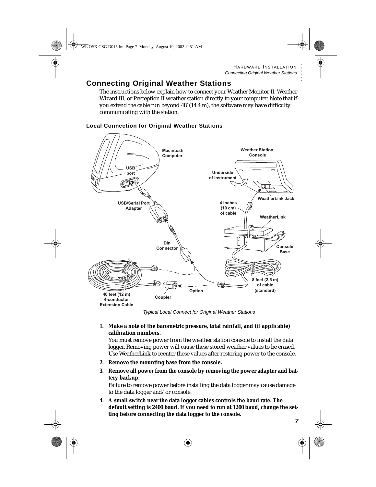# **Connecting Original Weather Stations**

The instructions below explain how to connect your Weather Monitor II, Weather Wizard III, or Perception II weather station directly to your computer. Note that if you extend the cable run beyond 48' (14.4 m), the software may have difficulty communicating with the station.

# **Local Connection for Original Weather Stations**



*Typical Local Connect for Original Weather Stations*

## **1. Make a note of the barometric pressure, total rainfall, and (if applicable) calibration numbers.**

You must remove power from the weather station console to install the data logger. Removing power will cause these stored weather values to be erased. Use WeatherLink to reenter these values after restoring power to the console.

- **2. Remove the mounting base from the console.**
- **3. Remove all power from the console by removing the power adapter and battery backup.**

Failure to remove power before installing the data logger may cause damage to the data logger and/or console.

**4. A small switch near the data logger cables controls the baud rate. The default setting is 2400 baud. If you need to run at 1200 baud, change the setting before connecting the data logger to the console.**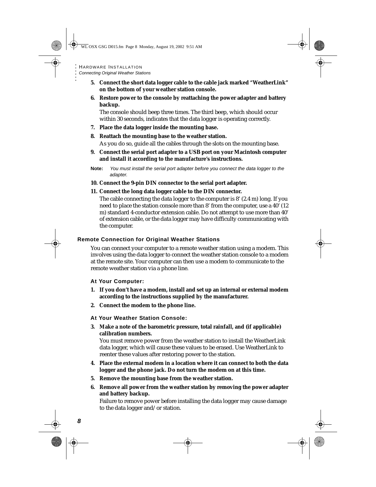- **5. Connect the short data logger cable to the cable jack marked "WeatherLink" on the bottom of your weather station console.**
- **6. Restore power to the console by reattaching the power adapter and battery backup.**

The console should beep three times. The third beep, which should occur within 30 seconds, indicates that the data logger is operating correctly.

- **7. Place the data logger inside the mounting base.**
- **8. Reattach the mounting base to the weather station.** As you do so, guide all the cables through the slots on the mounting base.
- **9. Connect the serial port adapter to a USB port on your Macintosh computer and install it according to the manufacture's instructions.**
- **Note:** *You must install the serial port adapter before you connect the data logger to the adapter.*
- **10. Connect the 9-pin DIN connector to the serial port adapter.**
- **11. Connect the long data logger cable to the DIN connector.**

The cable connecting the data logger to the computer is 8' (2.4 m) long. If you need to place the station console more than 8' from the computer, use a 40' (12 m) standard 4-conductor extension cable. Do not attempt to use more than 40' of extension cable, or the data logger may have difficulty communicating with the computer.

## **Remote Connection for Original Weather Stations**

You can connect your computer to a remote weather station using a modem. This involves using the data logger to connect the weather station console to a modem at the remote site. Your computer can then use a modem to communicate to the remote weather station via a phone line.

## **At Your Computer:**

- **1. If you don't have a modem, install and set up an internal or external modem according to the instructions supplied by the manufacturer.**
- **2. Connect the modem to the phone line.**

## **At Your Weather Station Console:**

**3. Make a note of the barometric pressure, total rainfall, and (if applicable) calibration numbers.** 

You must remove power from the weather station to install the WeatherLink data logger, which will cause these values to be erased. Use WeatherLink to reenter these values after restoring power to the station.

- **4. Place the external modem in a location where it can connect to both the data logger and the phone jack. Do not turn the modem on at this time.**
- **5. Remove the mounting base from the weather station.**
- **6. Remove all power from the weather station by removing the power adapter and battery backup.**

Failure to remove power before installing the data logger may cause damage to the data logger and/or station.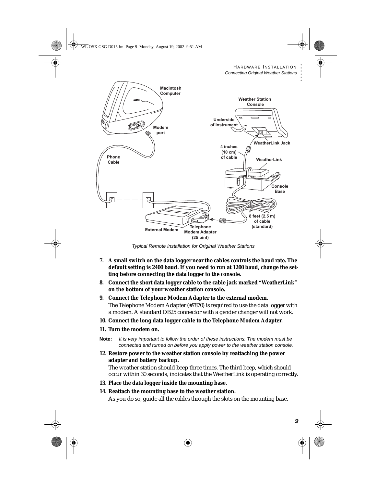

*Typical Remote Installation for Original Weather Stations*

- **7. A small switch on the data logger near the cables controls the baud rate. The default setting is 2400 baud. If you need to run at 1200 baud, change the setting before connecting the data logger to the console.**
- **8. Connect the short data logger cable to the cable jack marked "WeatherLink" on the bottom of your weather station console.**
- **9. Connect the Telephone Modem Adapter to the external modem.** The Telephone Modem Adapter (#7870) is required to use the data logger with a modem. A standard DB25 connector with a gender changer will not work.
- **10. Connect the long data logger cable to the Telephone Modem Adapter.**
- **11. Turn the modem on.**

**Note:** *It is very important to follow the order of these instructions. The modem must be connected and turned on before you apply power to the weather station console.*

**12. Restore power to the weather station console by reattaching the power adapter and battery backup.**

The weather station should beep three times. The third beep, which should occur within 30 seconds, indicates that the WeatherLink is operating correctly.

- **13. Place the data logger inside the mounting base.**
- **14. Reattach the mounting base to the weather station.**

As you do so, guide all the cables through the slots on the mounting base.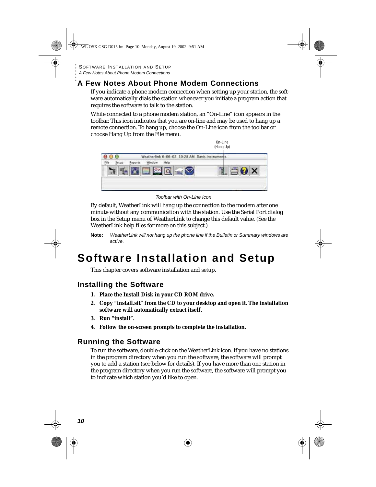# **A Few Notes About Phone Modem Connections**

If you indicate a phone modem connection when setting up your station, the software automatically dials the station whenever you initiate a program action that requires the software to talk to the station.

While connected to a phone modem station, an "On-Line" icon appears in the toolbar. This icon indicates that you are on-line and may be used to hang up a remote connection. To hang up, choose the On-Line icon from the toolbar or choose Hang Up from the File menu.



*Toolbar with On-Line Icon*

By default, WeatherLink will hang up the connection to the modem after one minute without any communication with the station. Use the Serial Port dialog box in the Setup menu of WeatherLink to change this default value. (See the WeatherLink help files for more on this subject.)

**Note:** *WeatherLink will not hang up the phone line if the Bulletin or Summary windows are active.* 

# **Software Installation and Setup**

This chapter covers software installation and setup.

# **Installing the Software**

- **1. Place the Install Disk in your CD ROM drive.**
- **2. Copy "install.sit" from the CD to your desktop and open it. The installation software will automatically extract itself.**
- **3. Run "install".**
- **4. Follow the on-screen prompts to complete the installation.**

# **Running the Software**

To run the software, double-click on the WeatherLink icon. If you have no stations in the program directory when you run the software, the software will prompt you to add a station (see below for details). If you have more than one station in the program directory when you run the software, the software will prompt you to indicate which station you'd like to open.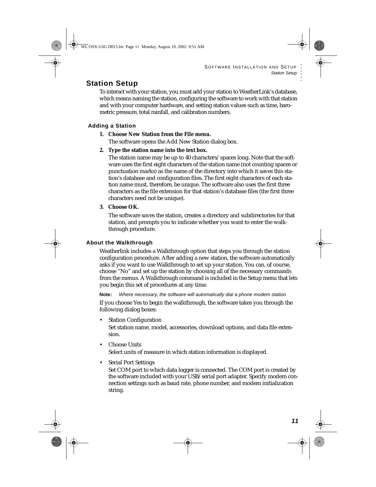# **Station Setup**

To interact with your station, you must add your station to WeatherLink's database, which means naming the station, configuring the software to work with that station and with your computer hardware, and setting station values such as time, barometric pressure, total rainfall, and calibration numbers.

# **Adding a Station**

## **1. Choose New Station from the File menu.**

The software opens the Add New Station dialog box.

**2. Type the station name into the text box.**

The station name may be up to 40 characters/spaces long. Note that the software uses the first eight characters of the station name (not counting spaces or punctuation marks) as the name of the directory into which it saves this station's database and configuration files. The first eight characters of each station name must, therefore, be unique. The software also uses the first three characters as the file extension for that station's database files (the first three characters need not be unique).

## **3. Choose OK.**

The software saves the station, creates a directory and subdirectories for that station, and prompts you to indicate whether you want to enter the walkthrough procedure.

## **About the Walkthrough**

Weatherlink includes a Walkthrough option that steps you through the station configuration procedure. After adding a new station, the software automatically asks if you want to use Walkthrough to set up your station. You can, of course, choose "No" and set up the station by choosing all of the necessary commands from the menus. A Walkthrough command is included in the Setup menu that lets you begin this set of procedures at any time.

**Note:** *Where necessary, the software will automatically dial a phone modem station.* 

If you choose Yes to begin the walkthrough, the software takes you through the following dialog boxes:

- **Station Configuration** Set station name, model, accessories, download options, and data file extension.
- Choose Units

Select units of measure in which station information is displayed.

• Serial Port Settings

Set COM port to which data logger is connected. The COM port is created by the software included with your USB/serial port adapter. Specify modem connection settings such as baud rate, phone number, and modem initialization string.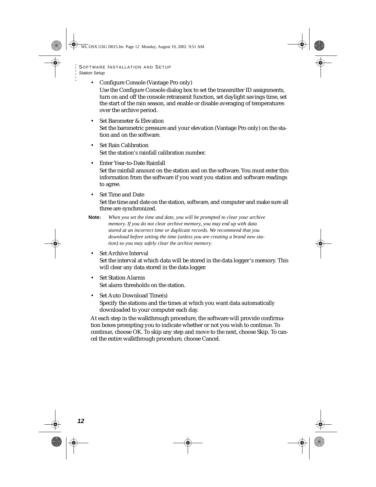- *Station Setup*
	- Configure Console (Vantage Pro only) Use the Configure Console dialog box to set the transmitter ID assignments, turn on and off the console retransmit function, set daylight savings time, set the start of the rain season, and enable or disable averaging of temperatures over the archive period.
	- Set Barometer & Elevation Set the barometric pressure and your elevation (Vantage Pro only) on the station and on the software.
	- Set Rain Calibration Set the station's rainfall calibration number.
	- Enter Year-to-Date Rainfall Set the rainfall amount on the station and on the software. You must enter this information from the software if you want you station and software readings to agree.
	- Set Time and Date Set the time and date on the station, software, and computer and make sure all three are synchronized.
	- **Note:** *When you set the time and date, you will be prompted to clear your archive memory. If you do not clear archive memory, you may end up with data stored at an incorrect time or duplicate records. We recommend that you download before setting the time (unless you are creating a brand new station) so you may safely clear the archive memory.*
	- Set Archive Interval Set the interval at which data will be stored in the data logger's memory. This will clear any data stored in the data logger.
	- Set Station Alarms Set alarm thresholds on the station.
	- Set Auto Download Time(s) Specify the stations and the times at which you want data automatically downloaded to your computer each day.

At each step in the walkthrough procedure, the software will provide confirmation boxes prompting you to indicate whether or not you wish to continue. To continue, choose OK. To skip any step and move to the next, choose Skip. To cancel the entire walkthrough procedure, choose Cancel.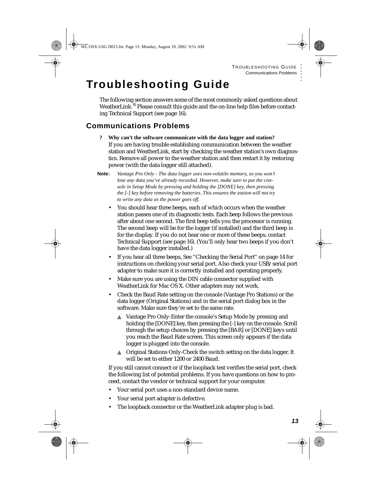# **Troubleshooting Guide**

The following section answers some of the most commonly asked questions about WeatherLink.<sup>®</sup> Please consult this guide and the on-line help files before contacting Technical Support (see page 16).

# **Communications Problems**

- **? Why can't the software communicate with the data logger and station?** If you are having trouble establishing communication between the weather station and WeatherLink, start by checking the weather station's own diagnostics. Remove all power to the weather station and then restart it by restoring power (with the data logger still attached).
- **Note:** *Vantage Pro Only The data logger uses non-volatile memory, so you won't lose any data you've already recorded. However, make sure to put the console in Setup Mode by pressing and holding the [DONE] key, then pressing the [-] key before removing the batteries. This ensures the station will not try to write any data as the power goes off.*
	- You should hear three beeps, each of which occurs when the weather station passes one of its diagnostic tests. Each beep follows the previous after about one second. The first beep tells you the processor is running. The second beep will be for the logger (if installed) and the third beep is for the display. If you do not hear one or more of these beeps, contact Technical Support (see page 16). (You'll only hear two beeps if you don't have the data logger installed.)
	- If you hear all three beeps, See "Checking the Serial Port" on page 14 for instructions on checking your serial port. Also check your USB/serial port adapter to make sure it is correctly installed and operating properly.
	- Make sure you are using the DIN cable connector supplied with WeatherLink for Mac OS X. Other adapters may not work.
	- Check the Baud Rate setting on the console (Vantage Pro Stations) or the data logger (Original Stations) and in the serial port dialog box in the software. Make sure they're set to the same rate.
		- ▲ Vantage Pro Only-Enter the console's Setup Mode by pressing and holding the [DONE] key, then pressing the [-] key on the console. Scroll through the setup choices by pressing the [BAR] or [DONE] keys until you reach the Baud Rate screen. This screen only appears if the data logger is plugged into the console.
		- ▲ Original Stations Only-Check the switch setting on the data logger. It will be set to either 1200 or 2400 Baud.

If you still cannot connect or if the loopback test verifies the serial port, check the following list of potential problems. If you have questions on how to proceed, contact the vendor or technical support for your computer.

- Your serial port uses a non-standard device name.
- Your serial port adapter is defective.
- The loopback connector or the WeatherLink adapter plug is bad.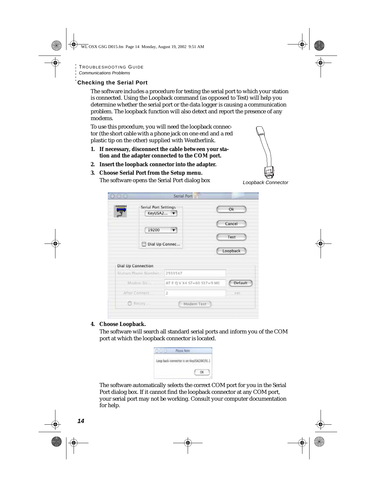*Communications Problems*

#### **Checking the Serial Port**

The software includes a procedure for testing the serial port to which your station is connected. Using the Loopback command (as opposed to Test) will help you determine whether the serial port or the data logger is causing a communication problem. The loopback function will also detect and report the presence of any modems.

To use this procedure, you will need the loopback connector (the short cable with a phone jack on one end and a red plastic tip on the other) supplied with Weatherlink.

- **1. If necessary, disconnect the cable between your station and the adapter connected to the COM port.**
- **2. Insert the loopback connector into the adapter.**
- **3. Choose Serial Port from the Setup menu.** The software opens the Serial Port dialog box



*Loopback Connector*

|                    |                      | Serial Port                |          |
|--------------------|----------------------|----------------------------|----------|
|                    | Serial Port Settings | KeyUSA2 v                  | Ok       |
|                    | 19200                | v,                         | Cancel   |
|                    |                      |                            | Test     |
|                    | Dial Up Connec       |                            |          |
|                    |                      |                            | Loopback |
|                    |                      |                            |          |
| Dial Up Connection |                      |                            |          |
|                    | Station Phone Number | 2933547                    |          |
|                    | Modem Str.,          | AT E Q V X4 57=60 537=9 MO | Default  |
|                    | After Connect        | 2                          | 3EE      |

#### **4. Choose Loopback.**

The software will search all standard serial ports and inform you of the COM port at which the loopback connector is located.

| connector is on KeyUSA2<br>$\mathcal{C}^{\text{max}}_{\text{max}}$<br>YA DA YAYU |
|----------------------------------------------------------------------------------|
|                                                                                  |

The software automatically selects the correct COM port for you in the Serial Port dialog box. If it cannot find the loopback connector at any COM port, your serial port may not be working. Consult your computer documentation for help.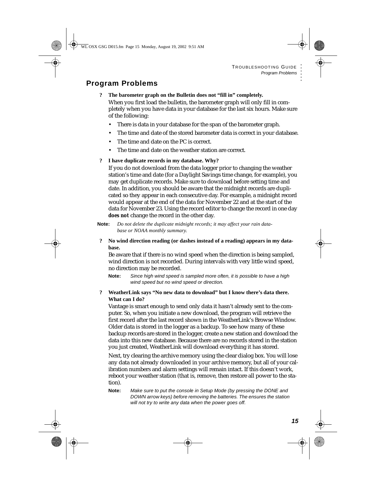# **Program Problems**

**? The barometer graph on the Bulletin does not "fill in" completely.** 

When you first load the bulletin, the barometer graph will only fill in completely when you have data in your database for the last six hours. Make sure of the following:

- There is data in your database for the span of the barometer graph.
- The time and date of the stored barometer data is correct in your database.
- The time and date on the PC is correct.
- The time and date on the weather station are correct.

#### **? I have duplicate records in my database. Why?**

If you do not download from the data logger prior to changing the weather station's time and date (for a Daylight Savings time change, for example), you may get duplicate records. Make sure to download before setting time and date. In addition, you should be aware that the midnight records are duplicated so they appear in each consecutive day. For example, a midnight record would appear at the end of the data for November 22 and at the start of the data for November 23. Using the record editor to change the record in one day *does not* change the record in the other day.

**Note:** *Do not delete the duplicate midnight records; it may affect your rain database or NOAA monthly summary.*

**? No wind direction reading (or dashes instead of a reading) appears in my database.**

Be aware that if there is no wind speed when the direction is being sampled, wind direction is not recorded. During intervals with very little wind speed, no direction may be recorded.

**Note:** *Since high wind speed is sampled more often, it is possible to have a high wind speed but no wind speed or direction.*

#### **? WeatherLink says "No new data to download" but I know there's data there. What can I do?**

Vantage is smart enough to send only data it hasn't already sent to the computer. So, when you initiate a new download, the program will retrieve the first record after the last record shown in the WeatherLink's Browse Window. Older data is stored in the logger as a backup. To see how many of these backup records are stored in the logger, create a new station and download the data into this new database. Because there are no records stored in the station you just created, WeatherLink will download everything it has stored.

Next, try clearing the archive memory using the clear dialog box. You will lose any data not already downloaded in your archive memory, but all of your calibration numbers and alarm settings will remain intact. If this doesn't work, reboot your weather station (that is, remove, then restore all power to the station).

**Note:** *Make sure to put the console in Setup Mode (by pressing the DONE and DOWN arrow keys) before removing the batteries. The ensures the station will not try to write any data when the power goes off.*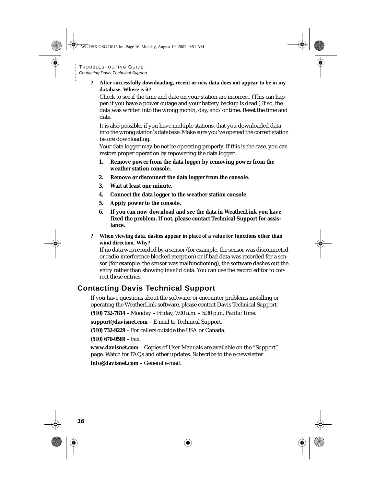**? After successfully downloading, recent or new data does not appear to be in my database. Where is it?**

Check to see if the time and date on your station are incorrect. (This can happen if you have a power outage and your battery backup is dead.) If so, the data was written into the wrong month, day, and/or time. Reset the time and date.

It is also possible, if you have multiple stations, that you downloaded data into the wrong station's database. Make sure you've opened the correct station before downloading.

Your data logger may be not be operating properly. If this is the case, you can restore proper operation by repowering the data logger:

- **1. Remove power from the data logger by removing power from the weather station console.**
- **2. Remove or disconnect the data logger from the console.**
- **3. Wait at least one minute.**
- **4. Connect the data logger to the weather station console.**
- **5. Apply power to the console.**
- **6. If you can now download and see the data in WeatherLink you have fixed the problem. If not, please contact Technical Support for assistance.**
- **? When viewing data, dashes appear in place of a value for functions other than wind direction. Why?**

If no data was recorded by a sensor (for example, the sensor was disconnected or radio interference blocked reception) or if bad data was recorded for a sensor (for example, the sensor was malfunctioning), the software dashes out the entry rather than showing invalid data. You can use the record editor to correct these entries.

# **Contacting Davis Technical Support**

If you have questions about the software, or encounter problems installing or operating the WeatherLink software, please contact Davis Technical Support.

**(510) 732-7814** – Monday – Friday, 7:00 a.m. – 5:30 p.m. Pacific Time.

**support@davisnet.com** – E-mail to Technical Support.

**(510) 732-9229** – For callers outside the USA or Canada.

**(510) 670-0589** – Fax.

**www.davisnet.com** – Copies of User Manuals are available on the "Support" page. Watch for FAQs and other updates. Subscribe to the e-newsletter. **info@davisnet.com** – General e-mail.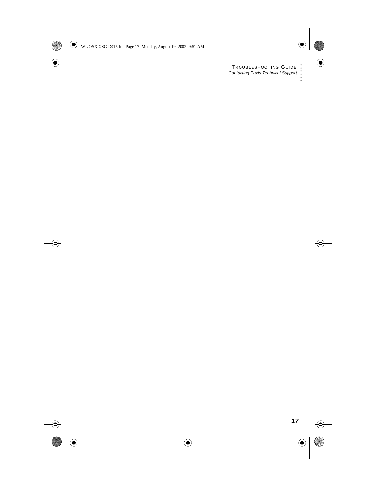#### TROUBLESHOOTING GUIDE *Contacting Davis Technical Support*

i.